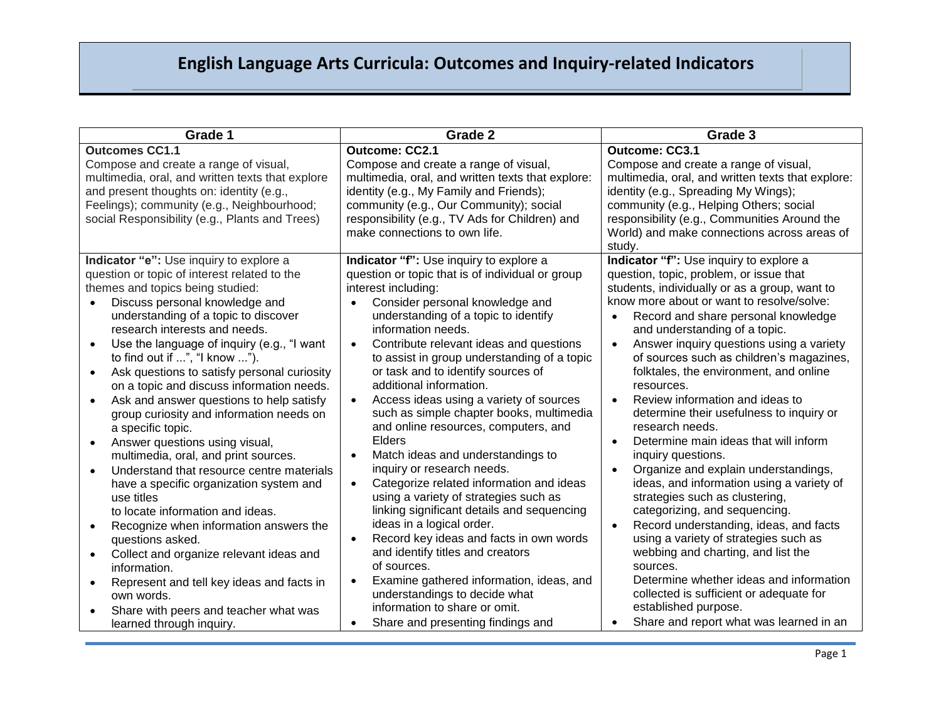| Grade 1                                                                                                                                                                                                                               | Grade 2                                                                                                                                                                                                                                                             | Grade 3                                                                                                                                                                                                                                                                                |
|---------------------------------------------------------------------------------------------------------------------------------------------------------------------------------------------------------------------------------------|---------------------------------------------------------------------------------------------------------------------------------------------------------------------------------------------------------------------------------------------------------------------|----------------------------------------------------------------------------------------------------------------------------------------------------------------------------------------------------------------------------------------------------------------------------------------|
| <b>Outcomes CC1.1</b>                                                                                                                                                                                                                 | Outcome: CC2.1                                                                                                                                                                                                                                                      | Outcome: CC3.1                                                                                                                                                                                                                                                                         |
| Compose and create a range of visual,<br>multimedia, oral, and written texts that explore<br>and present thoughts on: identity (e.g.,<br>Feelings); community (e.g., Neighbourhood;<br>social Responsibility (e.g., Plants and Trees) | Compose and create a range of visual,<br>multimedia, oral, and written texts that explore:<br>identity (e.g., My Family and Friends);<br>community (e.g., Our Community); social<br>responsibility (e.g., TV Ads for Children) and<br>make connections to own life. | Compose and create a range of visual,<br>multimedia, oral, and written texts that explore:<br>identity (e.g., Spreading My Wings);<br>community (e.g., Helping Others; social<br>responsibility (e.g., Communities Around the<br>World) and make connections across areas of<br>study. |
| Indicator "e": Use inquiry to explore a                                                                                                                                                                                               | Indicator "f": Use inquiry to explore a                                                                                                                                                                                                                             | Indicator "f": Use inquiry to explore a                                                                                                                                                                                                                                                |
| question or topic of interest related to the                                                                                                                                                                                          | question or topic that is of individual or group                                                                                                                                                                                                                    | question, topic, problem, or issue that                                                                                                                                                                                                                                                |
| themes and topics being studied:                                                                                                                                                                                                      | interest including:<br>Consider personal knowledge and                                                                                                                                                                                                              | students, individually or as a group, want to<br>know more about or want to resolve/solve:                                                                                                                                                                                             |
| Discuss personal knowledge and<br>$\bullet$<br>understanding of a topic to discover                                                                                                                                                   | understanding of a topic to identify                                                                                                                                                                                                                                | Record and share personal knowledge<br>$\bullet$                                                                                                                                                                                                                                       |
| research interests and needs.                                                                                                                                                                                                         | information needs.                                                                                                                                                                                                                                                  | and understanding of a topic.                                                                                                                                                                                                                                                          |
| Use the language of inquiry (e.g., "I want<br>$\bullet$                                                                                                                                                                               | Contribute relevant ideas and questions<br>$\bullet$                                                                                                                                                                                                                | Answer inquiry questions using a variety<br>$\bullet$                                                                                                                                                                                                                                  |
| to find out if ", "I know ").                                                                                                                                                                                                         | to assist in group understanding of a topic                                                                                                                                                                                                                         | of sources such as children's magazines,                                                                                                                                                                                                                                               |
| Ask questions to satisfy personal curiosity<br>$\bullet$                                                                                                                                                                              | or task and to identify sources of                                                                                                                                                                                                                                  | folktales, the environment, and online                                                                                                                                                                                                                                                 |
| on a topic and discuss information needs.<br>Ask and answer questions to help satisfy                                                                                                                                                 | additional information.<br>Access ideas using a variety of sources<br>$\bullet$                                                                                                                                                                                     | resources.<br>Review information and ideas to<br>$\bullet$                                                                                                                                                                                                                             |
| $\bullet$<br>group curiosity and information needs on                                                                                                                                                                                 | such as simple chapter books, multimedia                                                                                                                                                                                                                            | determine their usefulness to inquiry or                                                                                                                                                                                                                                               |
| a specific topic.                                                                                                                                                                                                                     | and online resources, computers, and                                                                                                                                                                                                                                | research needs.                                                                                                                                                                                                                                                                        |
| Answer questions using visual,<br>$\bullet$                                                                                                                                                                                           | Elders                                                                                                                                                                                                                                                              | Determine main ideas that will inform<br>$\bullet$                                                                                                                                                                                                                                     |
| multimedia, oral, and print sources.                                                                                                                                                                                                  | Match ideas and understandings to<br>$\bullet$                                                                                                                                                                                                                      | inquiry questions.                                                                                                                                                                                                                                                                     |
| Understand that resource centre materials                                                                                                                                                                                             | inquiry or research needs.<br>Categorize related information and ideas                                                                                                                                                                                              | Organize and explain understandings,<br>$\bullet$                                                                                                                                                                                                                                      |
| have a specific organization system and<br>use titles                                                                                                                                                                                 | $\bullet$<br>using a variety of strategies such as                                                                                                                                                                                                                  | ideas, and information using a variety of<br>strategies such as clustering,                                                                                                                                                                                                            |
| to locate information and ideas.                                                                                                                                                                                                      | linking significant details and sequencing                                                                                                                                                                                                                          | categorizing, and sequencing.                                                                                                                                                                                                                                                          |
| Recognize when information answers the                                                                                                                                                                                                | ideas in a logical order.                                                                                                                                                                                                                                           | Record understanding, ideas, and facts<br>$\bullet$                                                                                                                                                                                                                                    |
| questions asked.                                                                                                                                                                                                                      | Record key ideas and facts in own words<br>$\bullet$                                                                                                                                                                                                                | using a variety of strategies such as                                                                                                                                                                                                                                                  |
| Collect and organize relevant ideas and<br>$\bullet$                                                                                                                                                                                  | and identify titles and creators                                                                                                                                                                                                                                    | webbing and charting, and list the                                                                                                                                                                                                                                                     |
| information.                                                                                                                                                                                                                          | of sources.                                                                                                                                                                                                                                                         | sources.<br>Determine whether ideas and information                                                                                                                                                                                                                                    |
| Represent and tell key ideas and facts in<br>own words.                                                                                                                                                                               | Examine gathered information, ideas, and<br>$\bullet$<br>understandings to decide what                                                                                                                                                                              | collected is sufficient or adequate for                                                                                                                                                                                                                                                |
| Share with peers and teacher what was                                                                                                                                                                                                 | information to share or omit.                                                                                                                                                                                                                                       | established purpose.                                                                                                                                                                                                                                                                   |
| learned through inquiry.                                                                                                                                                                                                              | Share and presenting findings and                                                                                                                                                                                                                                   | Share and report what was learned in an                                                                                                                                                                                                                                                |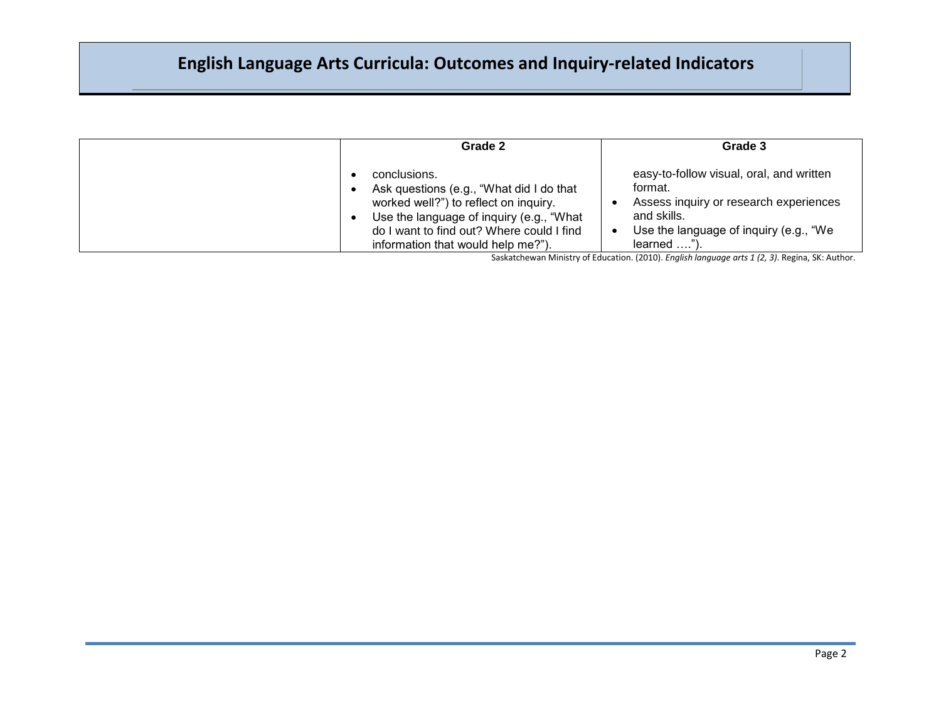| Grade 2                                                                                                                                                                                                                          | Grade 3                                                                                                                                                                 |
|----------------------------------------------------------------------------------------------------------------------------------------------------------------------------------------------------------------------------------|-------------------------------------------------------------------------------------------------------------------------------------------------------------------------|
| conclusions.<br>Ask questions (e.g., "What did I do that<br>worked well?") to reflect on inquiry.<br>Use the language of inquiry (e.g., "What<br>do I want to find out? Where could I find<br>information that would help me?"). | easy-to-follow visual, oral, and written<br>format.<br>Assess inquiry or research experiences<br>and skills.<br>Use the language of inquiry (e.g., "We<br>$learned$ "). |

Saskatchewan Ministry of Education. (2010). *English language arts 1 (2, 3)*. Regina, SK: Author.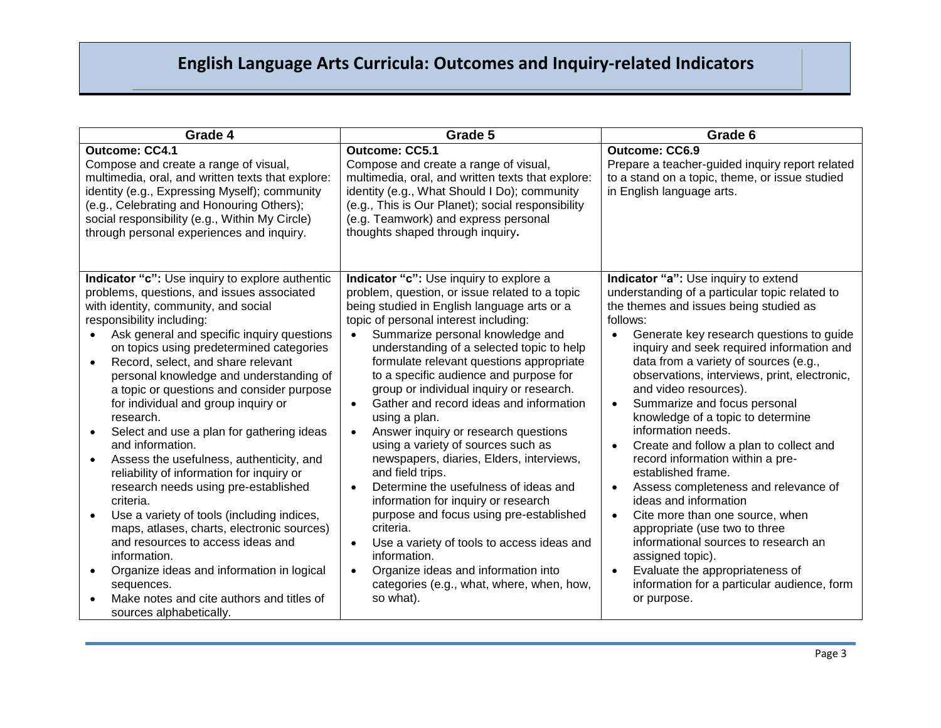| Grade 4                                                                                                                                                                                                                                                                                                                                                                                                                                                                                                                                                                                                                                                                                                                                                                                                                                                                                                                                                                                                            | Grade 5                                                                                                                                                                                                                                                                                                                                                                                                                                                                                                                                                                                                                                                                                                                                                                                                                                                                                                                                                                                             | Grade 6                                                                                                                                                                                                                                                                                                                                                                                                                                                                                                                                                                                                                                                                                                                                                                                                                                                                                          |
|--------------------------------------------------------------------------------------------------------------------------------------------------------------------------------------------------------------------------------------------------------------------------------------------------------------------------------------------------------------------------------------------------------------------------------------------------------------------------------------------------------------------------------------------------------------------------------------------------------------------------------------------------------------------------------------------------------------------------------------------------------------------------------------------------------------------------------------------------------------------------------------------------------------------------------------------------------------------------------------------------------------------|-----------------------------------------------------------------------------------------------------------------------------------------------------------------------------------------------------------------------------------------------------------------------------------------------------------------------------------------------------------------------------------------------------------------------------------------------------------------------------------------------------------------------------------------------------------------------------------------------------------------------------------------------------------------------------------------------------------------------------------------------------------------------------------------------------------------------------------------------------------------------------------------------------------------------------------------------------------------------------------------------------|--------------------------------------------------------------------------------------------------------------------------------------------------------------------------------------------------------------------------------------------------------------------------------------------------------------------------------------------------------------------------------------------------------------------------------------------------------------------------------------------------------------------------------------------------------------------------------------------------------------------------------------------------------------------------------------------------------------------------------------------------------------------------------------------------------------------------------------------------------------------------------------------------|
| <b>Outcome: CC4.1</b><br>Compose and create a range of visual,<br>multimedia, oral, and written texts that explore:<br>identity (e.g., Expressing Myself); community<br>(e.g., Celebrating and Honouring Others);<br>social responsibility (e.g., Within My Circle)<br>through personal experiences and inquiry.                                                                                                                                                                                                                                                                                                                                                                                                                                                                                                                                                                                                                                                                                                   | <b>Outcome: CC5.1</b><br>Compose and create a range of visual,<br>multimedia, oral, and written texts that explore:<br>identity (e.g., What Should I Do); community<br>(e.g., This is Our Planet); social responsibility<br>(e.g. Teamwork) and express personal<br>thoughts shaped through inquiry.                                                                                                                                                                                                                                                                                                                                                                                                                                                                                                                                                                                                                                                                                                | <b>Outcome: CC6.9</b><br>Prepare a teacher-guided inquiry report related<br>to a stand on a topic, theme, or issue studied<br>in English language arts.                                                                                                                                                                                                                                                                                                                                                                                                                                                                                                                                                                                                                                                                                                                                          |
| Indicator "c": Use inquiry to explore authentic<br>problems, questions, and issues associated<br>with identity, community, and social<br>responsibility including:<br>Ask general and specific inquiry questions<br>$\bullet$<br>on topics using predetermined categories<br>Record, select, and share relevant<br>$\bullet$<br>personal knowledge and understanding of<br>a topic or questions and consider purpose<br>for individual and group inquiry or<br>research.<br>Select and use a plan for gathering ideas<br>$\bullet$<br>and information.<br>Assess the usefulness, authenticity, and<br>$\bullet$<br>reliability of information for inquiry or<br>research needs using pre-established<br>criteria.<br>Use a variety of tools (including indices,<br>maps, atlases, charts, electronic sources)<br>and resources to access ideas and<br>information.<br>Organize ideas and information in logical<br>$\bullet$<br>sequences.<br>Make notes and cite authors and titles of<br>sources alphabetically. | Indicator "c": Use inquiry to explore a<br>problem, question, or issue related to a topic<br>being studied in English language arts or a<br>topic of personal interest including:<br>Summarize personal knowledge and<br>$\bullet$<br>understanding of a selected topic to help<br>formulate relevant questions appropriate<br>to a specific audience and purpose for<br>group or individual inquiry or research.<br>Gather and record ideas and information<br>$\bullet$<br>using a plan.<br>Answer inquiry or research questions<br>$\bullet$<br>using a variety of sources such as<br>newspapers, diaries, Elders, interviews,<br>and field trips.<br>Determine the usefulness of ideas and<br>$\bullet$<br>information for inquiry or research<br>purpose and focus using pre-established<br>criteria.<br>Use a variety of tools to access ideas and<br>$\bullet$<br>information.<br>Organize ideas and information into<br>$\bullet$<br>categories (e.g., what, where, when, how,<br>so what). | Indicator "a": Use inquiry to extend<br>understanding of a particular topic related to<br>the themes and issues being studied as<br>follows:<br>Generate key research questions to guide<br>$\bullet$<br>inquiry and seek required information and<br>data from a variety of sources (e.g.,<br>observations, interviews, print, electronic,<br>and video resources).<br>Summarize and focus personal<br>$\bullet$<br>knowledge of a topic to determine<br>information needs.<br>Create and follow a plan to collect and<br>record information within a pre-<br>established frame.<br>Assess completeness and relevance of<br>ideas and information<br>Cite more than one source, when<br>$\bullet$<br>appropriate (use two to three<br>informational sources to research an<br>assigned topic).<br>Evaluate the appropriateness of<br>information for a particular audience, form<br>or purpose. |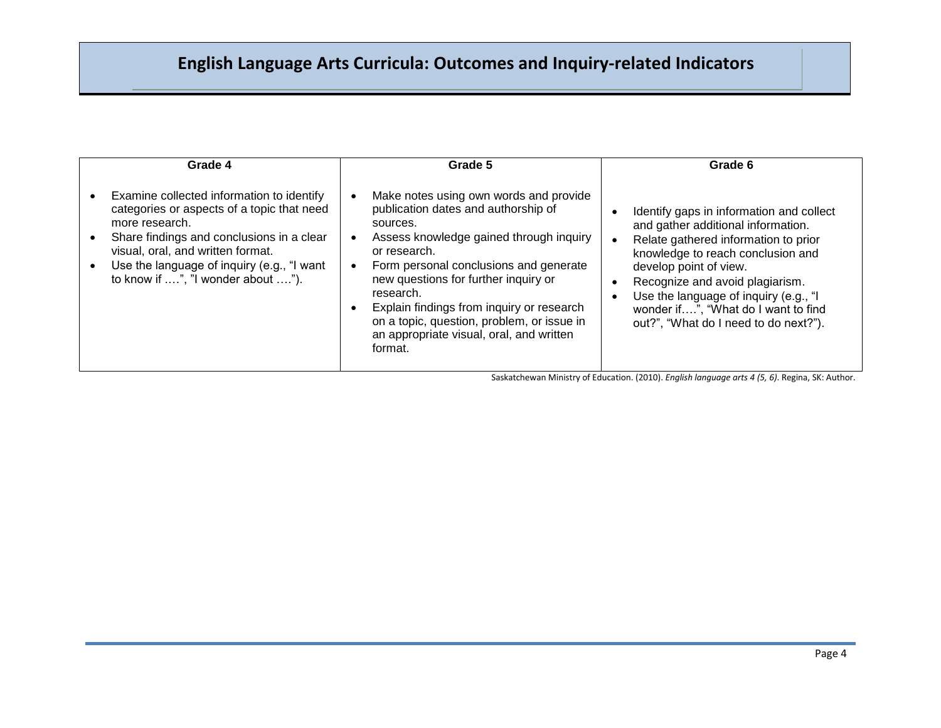| Grade 4                                                                                                                                                                                                                                                                        | Grade 5                                                                                                                                                                                                                                                                                                                                                                                               | Grade 6                                                                                                                                                                                                                                                                                                                                           |
|--------------------------------------------------------------------------------------------------------------------------------------------------------------------------------------------------------------------------------------------------------------------------------|-------------------------------------------------------------------------------------------------------------------------------------------------------------------------------------------------------------------------------------------------------------------------------------------------------------------------------------------------------------------------------------------------------|---------------------------------------------------------------------------------------------------------------------------------------------------------------------------------------------------------------------------------------------------------------------------------------------------------------------------------------------------|
| Examine collected information to identify<br>categories or aspects of a topic that need<br>more research.<br>Share findings and conclusions in a clear<br>visual, oral, and written format.<br>Use the language of inquiry (e.g., "I want<br>to know if ", "I wonder about "). | Make notes using own words and provide<br>publication dates and authorship of<br>sources.<br>Assess knowledge gained through inquiry<br>or research.<br>Form personal conclusions and generate<br>new questions for further inquiry or<br>research.<br>Explain findings from inquiry or research<br>on a topic, question, problem, or issue in<br>an appropriate visual, oral, and written<br>format. | Identify gaps in information and collect<br>and gather additional information.<br>Relate gathered information to prior<br>knowledge to reach conclusion and<br>develop point of view.<br>Recognize and avoid plagiarism.<br>Use the language of inquiry (e.g., "I<br>wonder if", "What do I want to find<br>out?", "What do I need to do next?"). |

Saskatchewan Ministry of Education. (2010). *English language arts 4 (5, 6)*. Regina, SK: Author.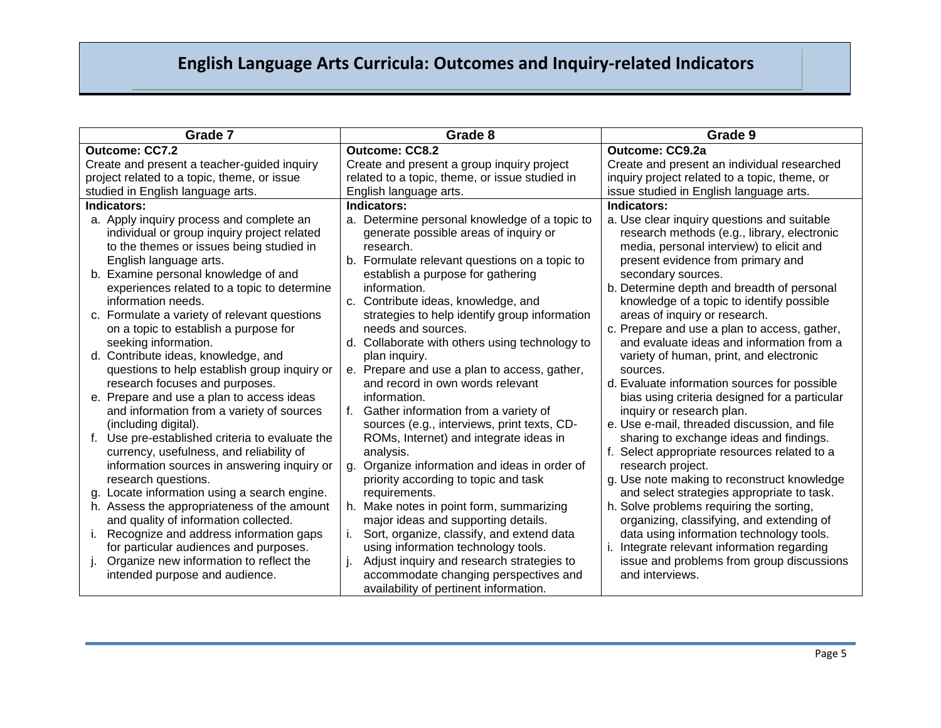| Grade 7                                            | Grade 8                                        | Grade 9                                       |
|----------------------------------------------------|------------------------------------------------|-----------------------------------------------|
| Outcome: CC7.2                                     | <b>Outcome: CC8.2</b>                          | <b>Outcome: CC9.2a</b>                        |
| Create and present a teacher-guided inquiry        | Create and present a group inquiry project     | Create and present an individual researched   |
| project related to a topic, theme, or issue        | related to a topic, theme, or issue studied in | inquiry project related to a topic, theme, or |
| studied in English language arts.                  | English language arts.                         | issue studied in English language arts.       |
| Indicators:                                        | Indicators:                                    | Indicators:                                   |
| a. Apply inquiry process and complete an           | a. Determine personal knowledge of a topic to  | a. Use clear inquiry questions and suitable   |
| individual or group inquiry project related        | generate possible areas of inquiry or          | research methods (e.g., library, electronic   |
| to the themes or issues being studied in           | research.                                      | media, personal interview) to elicit and      |
| English language arts.                             | b. Formulate relevant questions on a topic to  | present evidence from primary and             |
| b. Examine personal knowledge of and               | establish a purpose for gathering              | secondary sources.                            |
| experiences related to a topic to determine        | information.                                   | b. Determine depth and breadth of personal    |
| information needs.                                 | c. Contribute ideas, knowledge, and            | knowledge of a topic to identify possible     |
| c. Formulate a variety of relevant questions       | strategies to help identify group information  | areas of inquiry or research.                 |
| on a topic to establish a purpose for              | needs and sources.                             | c. Prepare and use a plan to access, gather,  |
| seeking information.                               | d. Collaborate with others using technology to | and evaluate ideas and information from a     |
| d. Contribute ideas, knowledge, and                | plan inquiry.                                  | variety of human, print, and electronic       |
| questions to help establish group inquiry or       | e. Prepare and use a plan to access, gather,   | sources.                                      |
| research focuses and purposes.                     | and record in own words relevant               | d. Evaluate information sources for possible  |
| e. Prepare and use a plan to access ideas          | information.                                   | bias using criteria designed for a particular |
| and information from a variety of sources          | Gather information from a variety of           | inquiry or research plan.                     |
| (including digital).                               | sources (e.g., interviews, print texts, CD-    | e. Use e-mail, threaded discussion, and file  |
| Use pre-established criteria to evaluate the<br>f. | ROMs, Internet) and integrate ideas in         | sharing to exchange ideas and findings.       |
| currency, usefulness, and reliability of           | analysis.                                      | f. Select appropriate resources related to a  |
| information sources in answering inquiry or        | g. Organize information and ideas in order of  | research project.                             |
| research questions.                                | priority according to topic and task           | g. Use note making to reconstruct knowledge   |
| Locate information using a search engine.          | requirements.                                  | and select strategies appropriate to task.    |
| h. Assess the appropriateness of the amount        | h. Make notes in point form, summarizing       | h. Solve problems requiring the sorting,      |
| and quality of information collected.              | major ideas and supporting details.            | organizing, classifying, and extending of     |
| Recognize and address information gaps<br>i.       | Sort, organize, classify, and extend data      | data using information technology tools.      |
| for particular audiences and purposes.             | using information technology tools.            | Integrate relevant information regarding      |
| Organize new information to reflect the            | Adjust inquiry and research strategies to      | issue and problems from group discussions     |
| intended purpose and audience.                     | accommodate changing perspectives and          | and interviews.                               |
|                                                    | availability of pertinent information.         |                                               |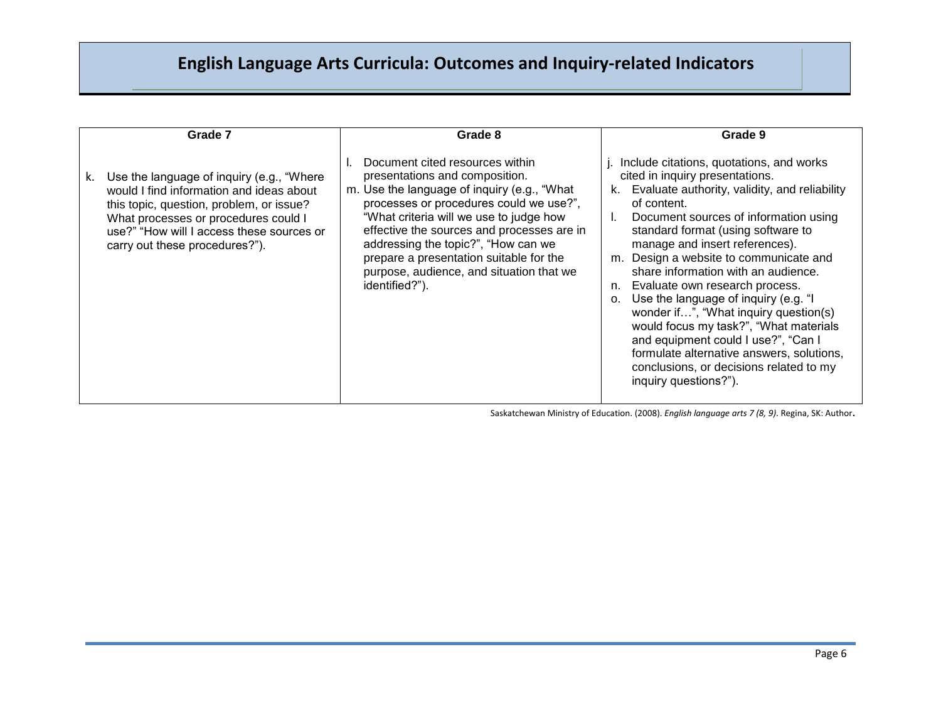|    | Grade 7                                                                                                                                                                                                                                                   | Grade 8                                                                                                                                                                                                                                                                                                                                                                                              | Grade 9                                                                                                                                                                                                                                                                                                                                                                                                                                                                                                                                                                                                                                                                                       |
|----|-----------------------------------------------------------------------------------------------------------------------------------------------------------------------------------------------------------------------------------------------------------|------------------------------------------------------------------------------------------------------------------------------------------------------------------------------------------------------------------------------------------------------------------------------------------------------------------------------------------------------------------------------------------------------|-----------------------------------------------------------------------------------------------------------------------------------------------------------------------------------------------------------------------------------------------------------------------------------------------------------------------------------------------------------------------------------------------------------------------------------------------------------------------------------------------------------------------------------------------------------------------------------------------------------------------------------------------------------------------------------------------|
| k. | Use the language of inquiry (e.g., "Where"<br>would I find information and ideas about<br>this topic, question, problem, or issue?<br>What processes or procedures could I<br>use?" "How will I access these sources or<br>carry out these procedures?"). | Document cited resources within<br>presentations and composition.<br>m. Use the language of inquiry (e.g., "What<br>processes or procedures could we use?",<br>"What criteria will we use to judge how<br>effective the sources and processes are in<br>addressing the topic?", "How can we<br>prepare a presentation suitable for the<br>purpose, audience, and situation that we<br>identified?"). | j. Include citations, quotations, and works<br>cited in inquiry presentations.<br>k. Evaluate authority, validity, and reliability<br>of content.<br>Document sources of information using<br>standard format (using software to<br>manage and insert references).<br>m. Design a website to communicate and<br>share information with an audience.<br>n. Evaluate own research process.<br>Use the language of inquiry (e.g. "I<br>O <sub>1</sub><br>wonder if", "What inquiry question(s)<br>would focus my task?", "What materials<br>and equipment could I use?", "Can I<br>formulate alternative answers, solutions,<br>conclusions, or decisions related to my<br>inquiry questions?"). |

Saskatchewan Ministry of Education. (2008). *English language arts 7 (8, 9)*. Regina, SK: Author.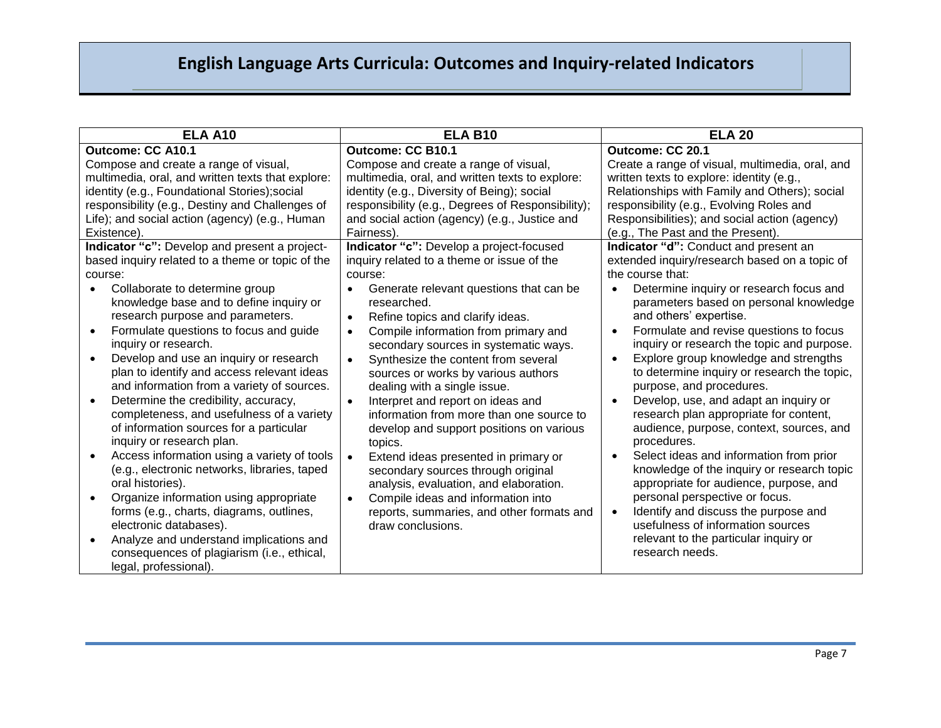| <b>ELA A10</b>                                           | <b>ELA B10</b>                                       | <b>ELA 20</b>                                        |
|----------------------------------------------------------|------------------------------------------------------|------------------------------------------------------|
| Outcome: CC A10.1                                        | <b>Outcome: CC B10.1</b>                             | Outcome: CC 20.1                                     |
| Compose and create a range of visual,                    | Compose and create a range of visual,                | Create a range of visual, multimedia, oral, and      |
| multimedia, oral, and written texts that explore:        | multimedia, oral, and written texts to explore:      | written texts to explore: identity (e.g.,            |
| identity (e.g., Foundational Stories); social            | identity (e.g., Diversity of Being); social          | Relationships with Family and Others); social        |
| responsibility (e.g., Destiny and Challenges of          | responsibility (e.g., Degrees of Responsibility);    | responsibility (e.g., Evolving Roles and             |
| Life); and social action (agency) (e.g., Human           | and social action (agency) (e.g., Justice and        | Responsibilities); and social action (agency)        |
| Existence)                                               | Fairness).                                           | (e.g., The Past and the Present).                    |
| Indicator "c": Develop and present a project-            | Indicator "c": Develop a project-focused             | Indicator "d": Conduct and present an                |
| based inquiry related to a theme or topic of the         | inquiry related to a theme or issue of the           | extended inquiry/research based on a topic of        |
| course:                                                  | course:                                              | the course that:                                     |
| Collaborate to determine group<br>$\bullet$              | Generate relevant questions that can be<br>$\bullet$ | Determine inquiry or research focus and<br>$\bullet$ |
| knowledge base and to define inquiry or                  | researched.                                          | parameters based on personal knowledge               |
| research purpose and parameters.                         | Refine topics and clarify ideas.<br>$\bullet$        | and others' expertise.                               |
| Formulate questions to focus and guide                   | Compile information from primary and<br>$\bullet$    | Formulate and revise questions to focus              |
| inquiry or research.                                     | secondary sources in systematic ways.                | inquiry or research the topic and purpose.           |
| Develop and use an inquiry or research<br>$\bullet$      | Synthesize the content from several<br>$\bullet$     | Explore group knowledge and strengths                |
| plan to identify and access relevant ideas               | sources or works by various authors                  | to determine inquiry or research the topic,          |
| and information from a variety of sources.               | dealing with a single issue.                         | purpose, and procedures.                             |
| Determine the credibility, accuracy,                     | Interpret and report on ideas and<br>$\bullet$       | Develop, use, and adapt an inquiry or                |
| completeness, and usefulness of a variety                | information from more than one source to             | research plan appropriate for content,               |
| of information sources for a particular                  | develop and support positions on various             | audience, purpose, context, sources, and             |
| inquiry or research plan.                                | topics.                                              | procedures.                                          |
| Access information using a variety of tools<br>$\bullet$ | Extend ideas presented in primary or<br>$\bullet$    | Select ideas and information from prior              |
| (e.g., electronic networks, libraries, taped             | secondary sources through original                   | knowledge of the inquiry or research topic           |
| oral histories).                                         | analysis, evaluation, and elaboration.               | appropriate for audience, purpose, and               |
| Organize information using appropriate<br>$\bullet$      | Compile ideas and information into<br>$\bullet$      | personal perspective or focus.                       |
| forms (e.g., charts, diagrams, outlines,                 | reports, summaries, and other formats and            | Identify and discuss the purpose and                 |
| electronic databases).                                   | draw conclusions.                                    | usefulness of information sources                    |
| Analyze and understand implications and<br>$\bullet$     |                                                      | relevant to the particular inquiry or                |
| consequences of plagiarism (i.e., ethical,               |                                                      | research needs.                                      |
| legal, professional).                                    |                                                      |                                                      |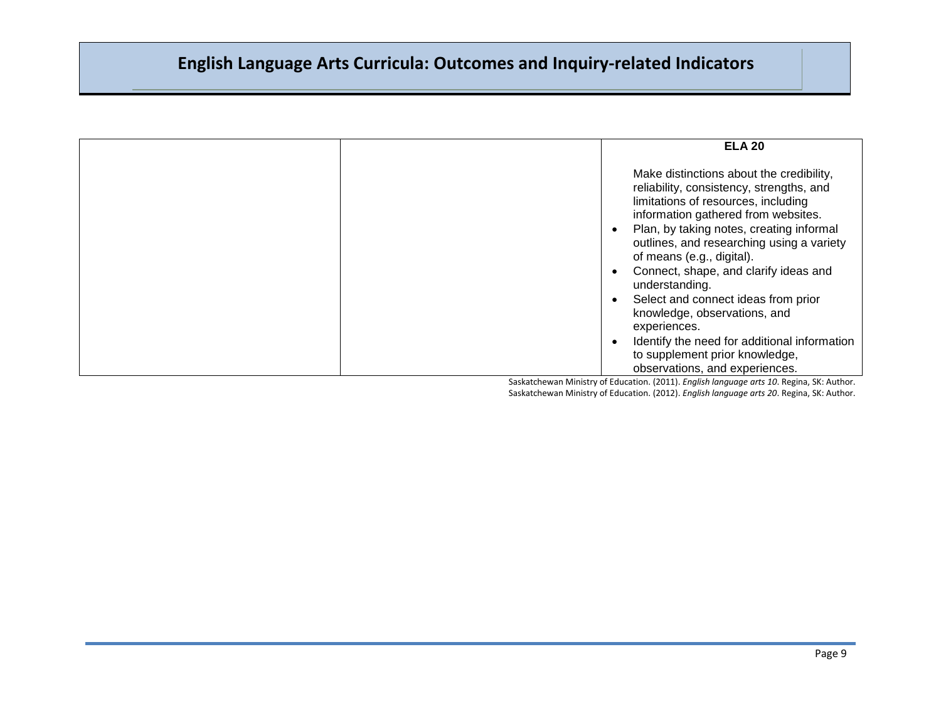|  | <b>ELA 20</b>                                                                                                                                                                                                                                                                                                                                                                                                                                                                                                                             |
|--|-------------------------------------------------------------------------------------------------------------------------------------------------------------------------------------------------------------------------------------------------------------------------------------------------------------------------------------------------------------------------------------------------------------------------------------------------------------------------------------------------------------------------------------------|
|  | Make distinctions about the credibility,<br>reliability, consistency, strengths, and<br>limitations of resources, including<br>information gathered from websites.<br>Plan, by taking notes, creating informal<br>outlines, and researching using a variety<br>of means (e.g., digital).<br>Connect, shape, and clarify ideas and<br>understanding.<br>Select and connect ideas from prior<br>knowledge, observations, and<br>experiences.<br>Identify the need for additional information<br>$\bullet$<br>to supplement prior knowledge, |
|  | observations, and experiences.                                                                                                                                                                                                                                                                                                                                                                                                                                                                                                            |

Saskatchewan Ministry of Education. (2011). *English language arts 10*. Regina, SK: Author. Saskatchewan Ministry of Education. (2012). *English language arts 20*. Regina, SK: Author.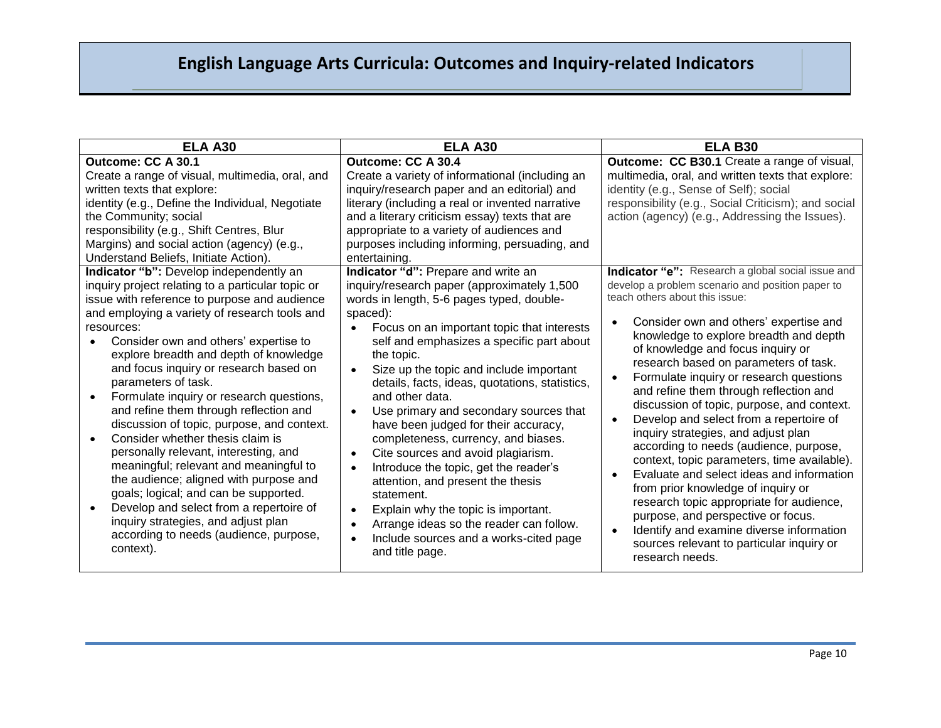| <b>ELA A30</b>                                                                                                                                                                                                                                                                                                                                                                                                                                                                                                                                                                                                                                                                                                                                                                                                                                                      | <b>ELA A30</b>                                                                                                                                                                                                                                                                                                                                                                                                                                                                                                                                                                                                                                                                                                                                                                                                                                                            | <b>ELA B30</b>                                                                                                                                                                                                                                                                                                                                                                                                                                                                                                                                                                                                                                                                                                                                                                                                                                                                                                                                                            |
|---------------------------------------------------------------------------------------------------------------------------------------------------------------------------------------------------------------------------------------------------------------------------------------------------------------------------------------------------------------------------------------------------------------------------------------------------------------------------------------------------------------------------------------------------------------------------------------------------------------------------------------------------------------------------------------------------------------------------------------------------------------------------------------------------------------------------------------------------------------------|---------------------------------------------------------------------------------------------------------------------------------------------------------------------------------------------------------------------------------------------------------------------------------------------------------------------------------------------------------------------------------------------------------------------------------------------------------------------------------------------------------------------------------------------------------------------------------------------------------------------------------------------------------------------------------------------------------------------------------------------------------------------------------------------------------------------------------------------------------------------------|---------------------------------------------------------------------------------------------------------------------------------------------------------------------------------------------------------------------------------------------------------------------------------------------------------------------------------------------------------------------------------------------------------------------------------------------------------------------------------------------------------------------------------------------------------------------------------------------------------------------------------------------------------------------------------------------------------------------------------------------------------------------------------------------------------------------------------------------------------------------------------------------------------------------------------------------------------------------------|
| Outcome: CC A 30.1<br>Create a range of visual, multimedia, oral, and<br>written texts that explore:<br>identity (e.g., Define the Individual, Negotiate<br>the Community; social<br>responsibility (e.g., Shift Centres, Blur<br>Margins) and social action (agency) (e.g.,<br>Understand Beliefs, Initiate Action).                                                                                                                                                                                                                                                                                                                                                                                                                                                                                                                                               | Outcome: CC A 30.4<br>Create a variety of informational (including an<br>inquiry/research paper and an editorial) and<br>literary (including a real or invented narrative<br>and a literary criticism essay) texts that are<br>appropriate to a variety of audiences and<br>purposes including informing, persuading, and<br>entertaining.                                                                                                                                                                                                                                                                                                                                                                                                                                                                                                                                | <b>Outcome: CC B30.1</b> Create a range of visual,<br>multimedia, oral, and written texts that explore:<br>identity (e.g., Sense of Self); social<br>responsibility (e.g., Social Criticism); and social<br>action (agency) (e.g., Addressing the Issues).                                                                                                                                                                                                                                                                                                                                                                                                                                                                                                                                                                                                                                                                                                                |
| Indicator "b": Develop independently an<br>inquiry project relating to a particular topic or<br>issue with reference to purpose and audience<br>and employing a variety of research tools and<br>resources:<br>Consider own and others' expertise to<br>$\bullet$<br>explore breadth and depth of knowledge<br>and focus inquiry or research based on<br>parameters of task.<br>Formulate inquiry or research questions,<br>and refine them through reflection and<br>discussion of topic, purpose, and context.<br>Consider whether thesis claim is<br>personally relevant, interesting, and<br>meaningful; relevant and meaningful to<br>the audience; aligned with purpose and<br>goals; logical; and can be supported.<br>Develop and select from a repertoire of<br>inquiry strategies, and adjust plan<br>according to needs (audience, purpose,<br>context). | Indicator "d": Prepare and write an<br>inquiry/research paper (approximately 1,500<br>words in length, 5-6 pages typed, double-<br>spaced):<br>Focus on an important topic that interests<br>self and emphasizes a specific part about<br>the topic.<br>Size up the topic and include important<br>$\bullet$<br>details, facts, ideas, quotations, statistics,<br>and other data.<br>Use primary and secondary sources that<br>$\bullet$<br>have been judged for their accuracy,<br>completeness, currency, and biases.<br>Cite sources and avoid plagiarism.<br>$\bullet$<br>Introduce the topic, get the reader's<br>$\bullet$<br>attention, and present the thesis<br>statement.<br>Explain why the topic is important.<br>$\bullet$<br>Arrange ideas so the reader can follow.<br>$\bullet$<br>Include sources and a works-cited page<br>$\bullet$<br>and title page. | Indicator "e": Research a global social issue and<br>develop a problem scenario and position paper to<br>teach others about this issue:<br>Consider own and others' expertise and<br>$\bullet$<br>knowledge to explore breadth and depth<br>of knowledge and focus inquiry or<br>research based on parameters of task.<br>Formulate inquiry or research questions<br>$\bullet$<br>and refine them through reflection and<br>discussion of topic, purpose, and context.<br>Develop and select from a repertoire of<br>$\bullet$<br>inquiry strategies, and adjust plan<br>according to needs (audience, purpose,<br>context, topic parameters, time available).<br>Evaluate and select ideas and information<br>$\bullet$<br>from prior knowledge of inquiry or<br>research topic appropriate for audience,<br>purpose, and perspective or focus.<br>Identify and examine diverse information<br>$\bullet$<br>sources relevant to particular inquiry or<br>research needs. |